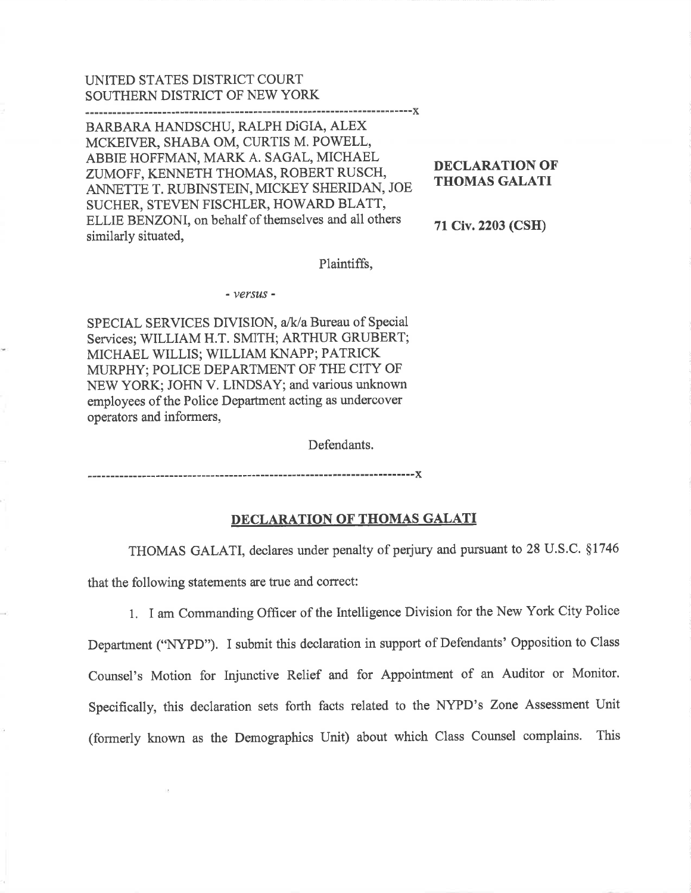### UNITED STATES DISTRICT COURT SOUTHERN DISTRICT OF NEW YORK

BARBARA HANDSCHU, RALPH DiGIA, ALEX MCKETVER, SHABA OM, CURTIS M. POWELL, ABBIE HOFFMAN, MARK A. SAGAL, MICHAEL ZUMOFF, KENNETH THOMAS, ROBERT RUSCH, ANNETTE T. RUBINSTEIN, MICKEY SHERIDAN, JOE SUCHER, STEVEN FISCHLER, HOWARD BLATT, ELLIE BENZONI, on behalf of themselves and all others similarly situated,

DECLARATION OF **THOMAS GALATI** 

<sup>71</sup>Civ.2203 (CSH)

Plaintifß,

-----------X

- versus -

SPECIAL SERVICES DIVISION, a/k/a Bureau of Special Services;WLLIAM H.T. SMITH; ARTHUR GRUBERT; MICHAEL WILLIS; WILIAM KNAPP; PATRICK MURPHY; POLICE DEPARTMENT OF THE CITY OF NEW YORK; JOHN V. LINDSAY; and various unknown employees of the Police Department acting as undercover operators and informers,

Defendants.

### DECLARATION OF THOMAS GALATI

THOMAS GALATI, declares under penalty of perjury and pursuant to 28 U.S.C. ç1746

that the following statements are true and correct:

1. I am Commanding Officer of the Intelligence Division for the New York City Police

Department ("NYPD"). I submit this declaration in support of Defendants' Opposition to Class Counsel's Motion for Injunctive Relief and for Appointment of an Auditor or Monitor. Specifically, this declaration sets forth facts related to the NYPD's Zone Assessment Unit (formerly known as the Demographics Unit) about which Class Counsel complains. This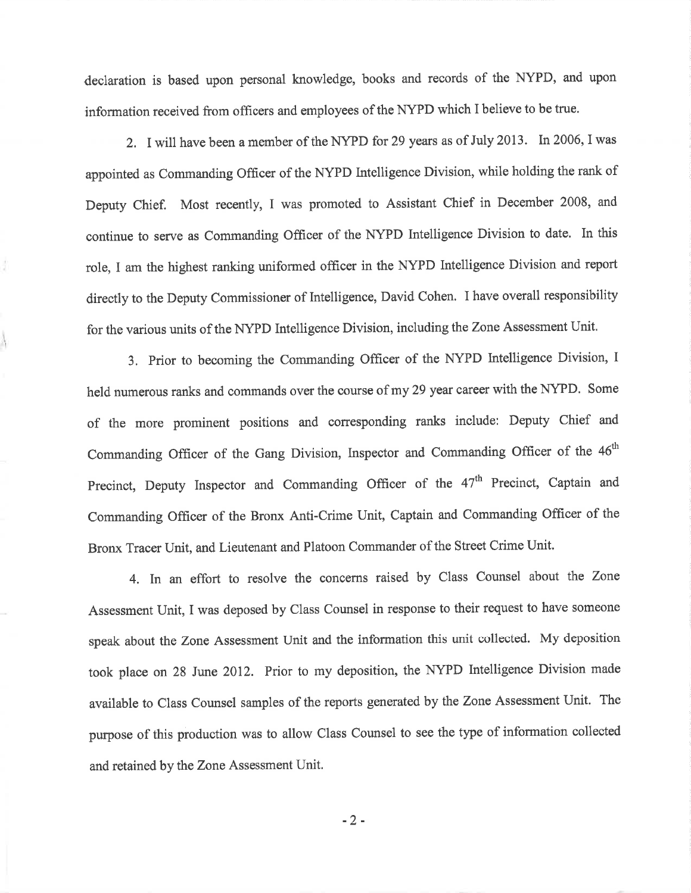declaration is based upon personal knowledge, books and records of the NYPD, and upon information received from officers and employees of the NYPD which I believe to be true.

2. I will have been a member of the NYPD for 29 years as of July 2013. In 2006, I was appointed as Commanding Officer of the NYPD Intelligence Division, while holding the rank of Deputy Chief. Most recently, I was promoted to Assistant Chief in December 2008, and continue to serve as Commanding Officer of the NYPD Intelligence Division to date. In this role, I am the highest ranking uniformed officer in the NYPD Intelligence Division and report directly to the Deputy Commissioner of Intelligence, David Cohen. I have overall responsibility for the various units of the NYPD Intelligence Division, including the Zone Assessment Unit.

3. Prior to becoming the Commanding Officer of the NYPD lntelligence Division, <sup>I</sup> held numerous ranks and commands over the course of my 29 year career with the NYPD. Some of the more prominent positions and corresponding ranks include: Deputy Chief and Commanding Officer of the Gang Division, Inspector and Commanding Officer of the 46<sup>th</sup> Precinct, Deputy Inspector and Commanding Officer of the 47<sup>th</sup> Precinct, Captain and Commanding Offrcer of the Bronx Anti-Crime Unit, Captain and Commanding Officer of the Bronx Tracer Unit, and Lieutenant and Platoon Commander of the Street Crime Unit.

4. In an effort to resolve the concems raised by Class Counsel about the Zone Assessment Unit, I was deposed by Class Counsel in response to their request to have someone speak about the Zone Assessment Unit and the information this unit collected. My deposition took place on 28 June 2012. Prior to my deposition, the NYPD Intelligence Division made available to Class Counsel samples of the reports generated by the Zone Assessment Unit. The purpose of this production was to allow Class Counsel to see the type of information collected and retained by the Zone Assessment Unit.

-2-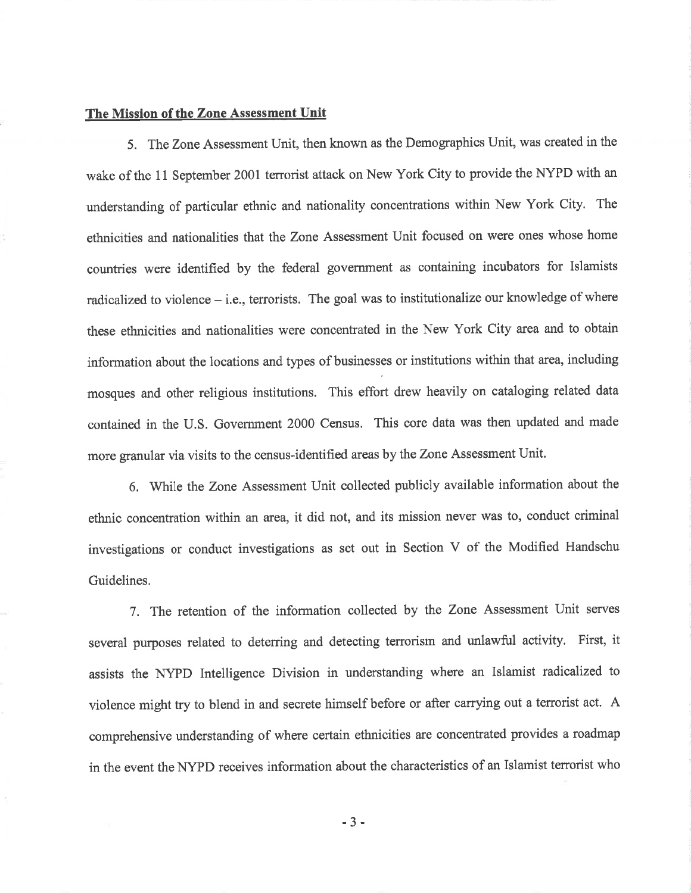### The Mission of the Zone Assessment Unit

5. The Zone Assessment Unit, then known as the Demographics Unit, was created in the wake of the 11 September 2001 terrorist attack on New York City to provide the NYPD with an understanding of particular ethnic and nationality concentrations within New York City. The ethnicities and nationalities that the Zone Assessment Unit focused on were ones whose home countries were identified by the federal government as containing incubators for Islamists radicalized to violence  $-$  i.e., terrorists. The goal was to institutionalize our knowledge of where these ethnicities and nationalities were concentrated in the New York City area and to obtain information about the locations and types of businesses or institutions within that area, including mosques and other religious institutions. This effort drew heavily on cataloging related data contained in the U.S. Government 2000 Census. This core data was then updated and made more granular via visits to the census-identified areas by the Zone Assessment Unit.

6. While the Zone Assessment Unit collected publicly available information about the ethnic concentration within an area, it did not, and its mission never was to, conduct criminal investigations or conduct investigations as set out in Section V of the Modified Handschu Guidelines.

7. The retention of the information collected by the Zone Assessment Unit serves several purposes related to deterring and detecting terrorism and unlawful activity. First, it assists the NYPD Intelligence Division in understanding where an Islamist tadicalized to violence might try to blend in and secrete himself before or after carrying out a terrorist act. A comprehensive understanding of where certain ethnicities are concentrated provides a roadmap in the event the NYPD receives information about the characteristics of an Islamist terrorist who

-J-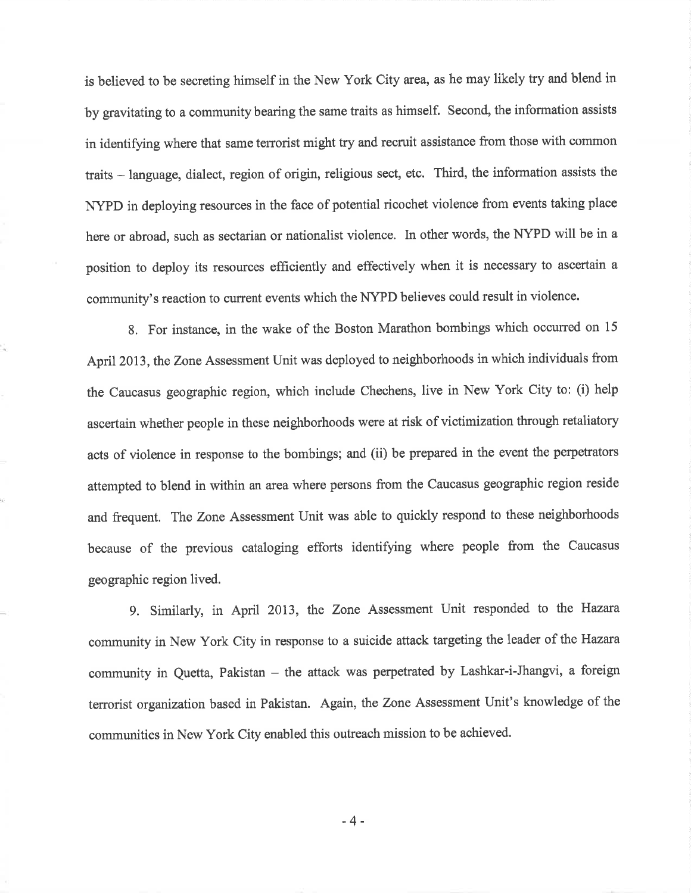is believed to be secreting himself in the New York City area, as he may likely try and blend in by gfavitating to a community bearing the same traits as himself. Second, the information assists in identifying where that same terrorist might try and recruit assistance from those with common traits - language, dialect, region of origin, religious sect, etc. Third, the information assists the NYPD in deploying resources in the face of potential ricochet violence from events taking place here or abroad, such as sectarian or nationalist violence. In other words, the NYPD will be in <sup>a</sup> position to deploy its resources efficiently and effectively when it is necessary to ascertain <sup>a</sup> community's reaction to current events which the NYPD believes could result in violence.

8. For instance, in the wake of the Boston Marathon bombings which occurred on <sup>15</sup> April 2013, the Zone Assessment Unit was deployed to neighborhoods in which individuals from the Caucasus geographic region, which include Chechens, live in New York City to: (i) help ascertain whether people in these neighborhoods were at risk of victimization through retaliatory acts of violence in response to the bombings; and (ii) be prepared in the event the perpetrators attempted to blend in within an area where persons from the Caucasus geographic region reside and frequent. The Zone Assessment Unit was able to quickly respond to these neighborhoods because of the previous cataloging efforts identifying where people from the Caucasus geographic region lived.

9. Similarly, in April 2013, the Zone Assessment Unit responded to the Hazara community in New York City in response to a suicide attack targeting the leader of the Hazara community in Quetta, Pakistan - the attack was perpetrated by Lashkar-i-Jhangvi, a foreign terrorist organization based in Pakistan. Again, the Zone Assessment Unit's knowledge of the communities in New York City enabled this outreach mission to be achieved.

-4-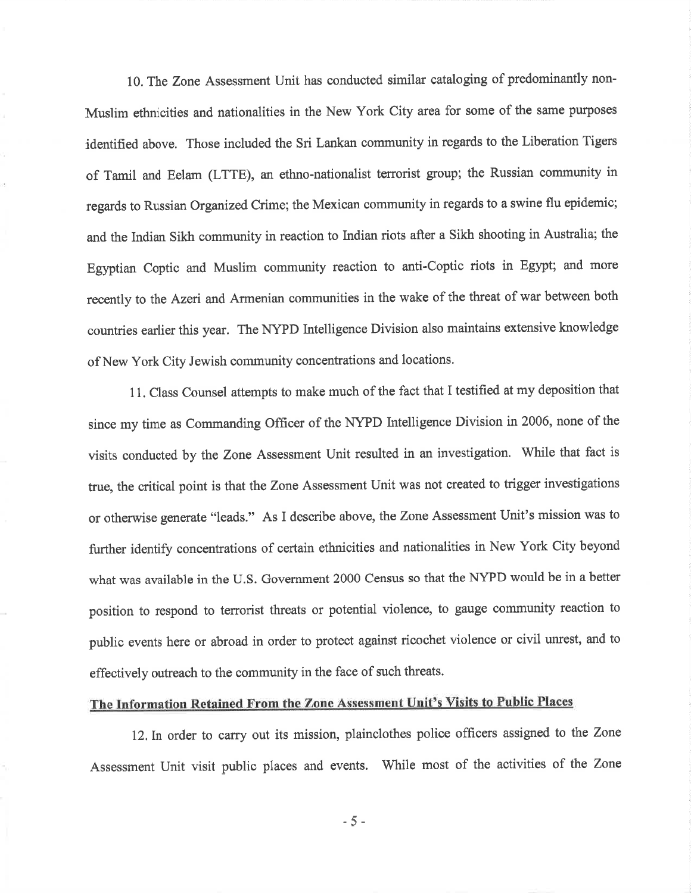10. The Zone Assessment Unit has conducted similar cataloging of predominantly non-Muslim ethnicities and nationalities in the New York City area for some of the same purposes identified above. Those included the Sri Lankan community in regards to the Liberation Tigers of Tamil and Eelam (LTTE), an ethno-nationalist terrorist group; the Russian community in regards to Russian Organized Crime; the Mexican community in regards to a swine flu epidemic; and the Indian Sikh community in reaction to Indian riots after a Sikh shooting in Australia; the Egyptian Coptic and Muslim community reaction to anti-Coptic riots in Egypt; and more recently to the Azeri and Armenian communities in the wake of the threat of war between both countries earlier this year. The NYPD Intelligence Division also maintains extensive knowledge of New York City Jewish community concentrations and locations.

11. Class Counsel attempts to make much of the fact that I testified at my deposition that since my time as Commanding Officer of the NYPD Intelligence Division in 2006, none of the visits conducted by the Zone Assessment Unit resulted in an investigation. While that fact is true, the critical point is that the Zone Assessment Unit was not created to trigger investigations or otherwise generate "leads." As I describe above, the Zone Assessment Unit's mission was to further identify concentrations of certain ethnicities and nationalities in New York City beyond what was available in the U.S. Government 2000 Census so that the NYPD would be in a better position to respond to terrorist threats or potential violence, to gauge community reaction to public events here or abroad in order to protect against ricochet violence or civil unrest, and to effectively outreach to the community in the face of such threats.

## The Information Retained From the Zone Assessment Unit's Visits to Public Places

l2.In order to carry out its mission, plainclothes police officers assigned to the Zone Assessment Unit visit public places and events. While most of the activities of the Zone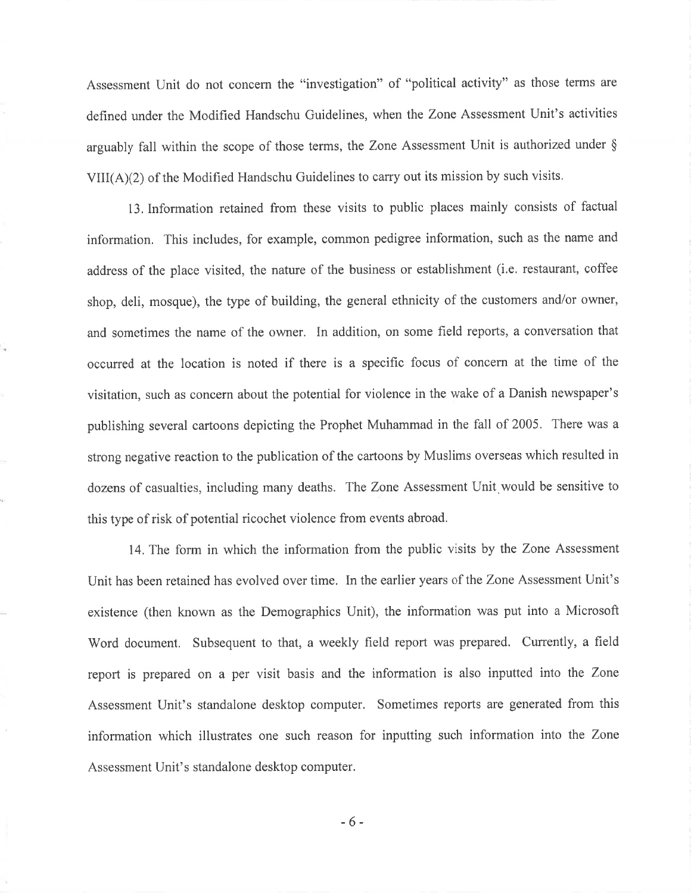Assessment Unit do not concern the "investigation" of "political activity" as those terms are defined under the Modifred Handschu Guidelines, when the Zone Assessment Unit's activities arguably fall within the scope of those terms, the Zone Assessment Unit is authorized under \$  $VIII(A)(2)$  of the Modified Handschu Guidelines to carry out its mission by such visits.

13.Information retained from these visits to public places mainly consists of factual information. This includes, for example, common pedigree information, such as the name and address of the place visited, the nature of the business or establishment (i.e. restaurant, coffee shop, deli, mosque), the type of building, the general ethnicity of the customers and/or owner, and sometimes the name of the owner. In addition, on some field reports, a conversation that occurred at the location is noted if there is a specific focus of concern at the time of the visitation, such as concern about the potential for violence in the wake of a Danish newspaper's publishing several cartoons depicting the Prophet Muhammad in the fall of 2005. There was a strong negative reaction to the publication of the cartoons by Muslims overseas which resulted in dozens of casualties, including many deaths. The Zone Assessment Unit.would be sensitive to this type of risk of potential ricochet violence from events abroad.

14. The form in which the information from the public visits by the Zone Assessment Unit has been retained has evolved over time. In the earlier years of the Zone Assessment Unit's existence (then known as the Demographics Unit), the information was put into a Microsoft Word document. Subsequent to that, a weekly field report was prepared. Currently, a field report is prepared on a per visit basis and the information is also inputted into the Zone Assessment Unit's standalone desktop computer, Sometimes reports are generated from this information which illustrates one such reason for inputting such information into the Zone Assessment Unit's standalone desktop computer.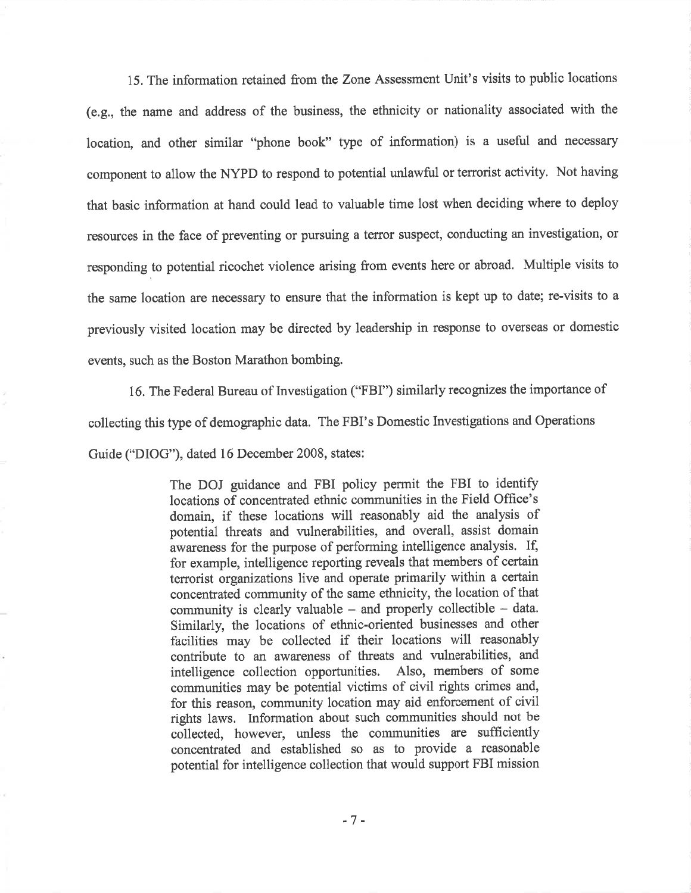15. The information retained from the Zone Assessment Unit's visits to public locations (e.g., the name and address of the business, the ethnicity or nationality associated with the location, and other similar "phone book" type of information) is a useful and necessary component to allow the NYPD to respond to potential unlawful or terrorist activity, Not having that basic information at hand could lead to valuable time lost when deciding where to deploy resources in the face of preventing or pursuing a terror suspect, conducting an investigation, or responding to potential ricochet violence arising from events here or abroad. Multiple visits to the same location are necessary to ensure that the information is kept up to date; re-visits to <sup>a</sup> previously visited location may be directed by leadership in response to overseas or domestic events, such as the Boston Marathon bombing.

16. The Federal Bureau of Investigation ("FBI") similarly recognizes the importance of collecting this type of demographic data. The FBI's Domestic Investigations and Operations Guide ("DIOG"), dated 16 Decernber 2008, states:

> The DOJ guidance and FBI policy permit the FBI to identify locations of concentrated ethnic communities in the Field Office's domain, if these locations will reasonably aid the analysis of potential threats and vulnerabilities, and overall, assist domain awareness for the purpose of performing intelligence analysis. If, for example, intelligence reporting reveals that members of certain terrorist organizations live and operate primarily within a certain concentrated community of the same ethnicity, the location of that community is clearly valuable  $-$  and properly collectible  $-$  data. Similarly, the locations of ethnic-oriented businesses and other facilities may be collected if their locations will reasonably contribute to an awareness of threats and vulnerabilities, and intelligence collection opportunities. Also, members of some communities may be potential victims of civil rights crimes and, for this reason, community location may aid enforcement of civil rights laws. Information about such communities should not be collected, however, unless the communities are sufficiently concentrated and established so as to provide a reasonable potential for intelligence collection that would support FBI mission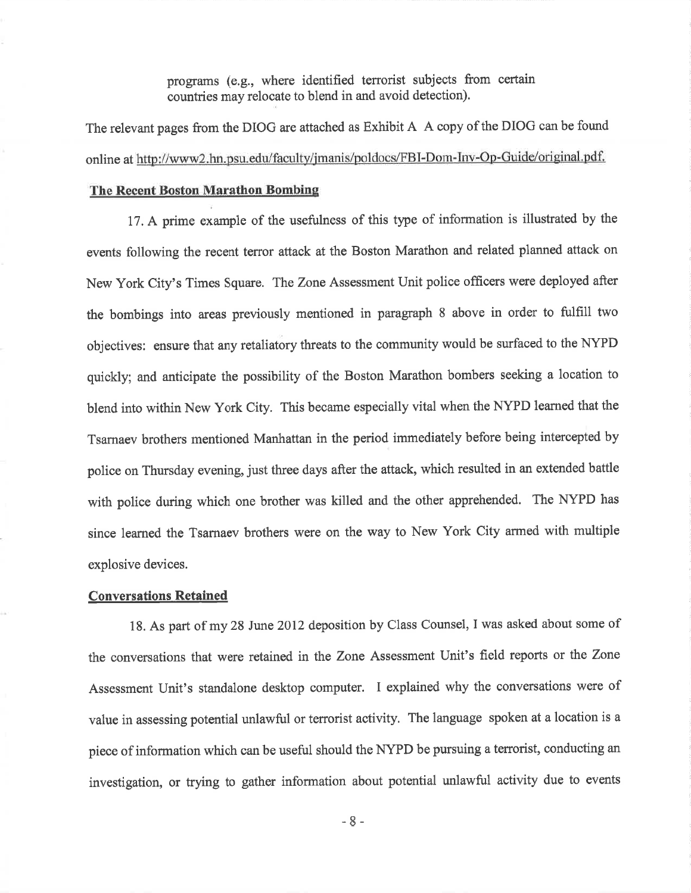programs (e.g., where identified terrorist subjects from certain countries may relocate to blend in and avoid detection).

The relevant pages from the DIOG are attached as Exhibit A A copy of the DIOG can be found online at http://www2.hn.psu.edu/faculty/jmanis/poldocs/FBI-Dom-Inv-Op-Guide/original.pdf.

### The Recent Boston Marathon Bombing

17. A prime example of the usefulness of this type of information is illustrated by the events following the recent terror attack at the Boston Marathon and related planned attack on New York City's Times Square. The Zone Assessment Unit police officers were deployed after the bombings into areas previously mentioned in paragraph 8 above in order to fuIfiIl two objectives: ensure that any retaliatory threats to the community would be surfaced to the NYPD quickly; and anticipate the possibility of the Boston Marathon bombers seeking a location to blend into within New York City. This became especially vital when the NYPD learned that the Tsarnaev brothers mentioned Manhattan in the period immediately before being intercepted by police on Thursday evening, just three days after the attack, which resulted in an extended battle with police during which one brother was killed and the other apprehended. The NYPD has since learned the Tsarnaev brothers were on the way to New York City armed with multiple explosive devices.

### Conversations Retained

18. As part of my 28 June 2012 deposition by Class Counsel, I was asked about some of the conversations that were retained in the Zone Assessment Unit's field reports or the Zone Assessment Unit's standalone desktop computer. I explained why the conversations were of value in assessing potential unlawful or terrorist activity. The language spoken at a location is <sup>a</sup> piece of information which can be useful should the NYPD be pursuing a terrorist, conducting an investigation, or trying to gather information about potential unlawful activity due to events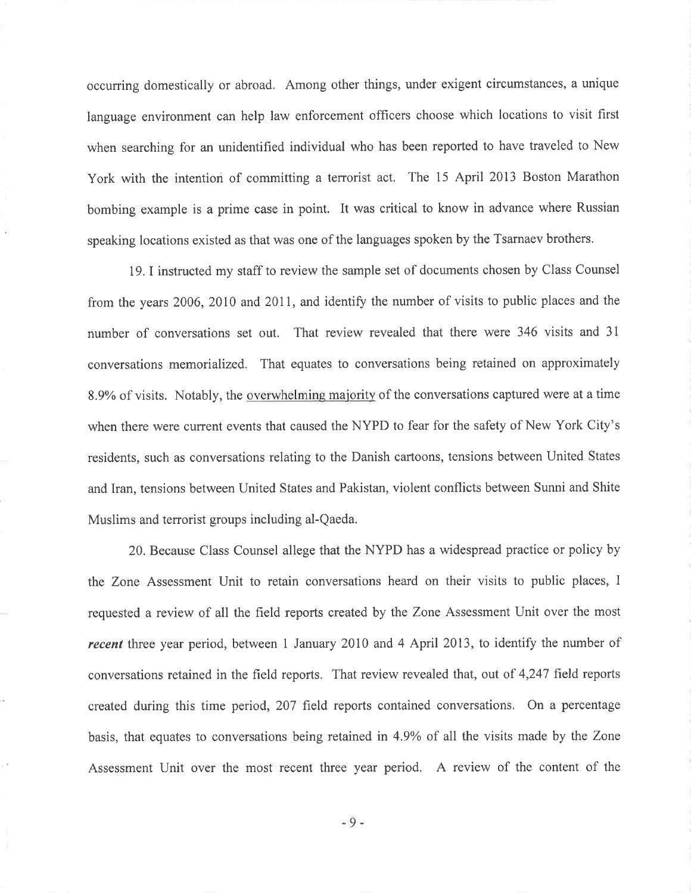occurring domestically or abroad. Among other things, under exigent circumstances, a unique language environment can help law enforcement officers choose which locations to visit first when searching for an unidentified individual who has been reported to have traveled to New York with the intention of committing a terrorist act. The 15 April 2013 Boston Marathon bombing example is a prime case in point. It was critical to know in advance where Russian speaking locations existed as that was one of the languages spoken by the Tsarnaev brothers.

19. I instructed my staff to review the sample set of documents chosen by Class Counsel from the years 2006, 2010 and 2011, and identify the number of visits to public places and the number of conversations set out. That review revealed that there were 346 visits and 3l conversations memorialized. That equates to conversations being retained on approximately 8.9% of visits. Notably, the overwhelming majority of the conversations captured were at a time when there were current events that caused the NYPD to fear for the safety of New York City's residents, such as conversations relating to the Danish cartoons, tensions between United States and lran, tensions between United States and Pakistan, violent conflicts between Sunni and Shite Muslims and terrorist groups including al-Qaeda.

20. Because Class Counsel allege that the NYPD has a widespread practice or policy by the Zone Assessment Unit to retain conversations heard on their visits to public places, I requested a review of all the field reports created by the Zone Assessment Unit over the most recent three year period, between 1 January 2010 and 4 April 2013, to identify the number of conversations retained in the field reports. That review revealed that, out of 4,247 field reports created during this time period, 207 field reports contained conversations. On a percentage basis, that equates to conversations being retained in 4.9Yo of all the visits made by the Zone Assessment Unit over the most recent three year period. A review of the content of the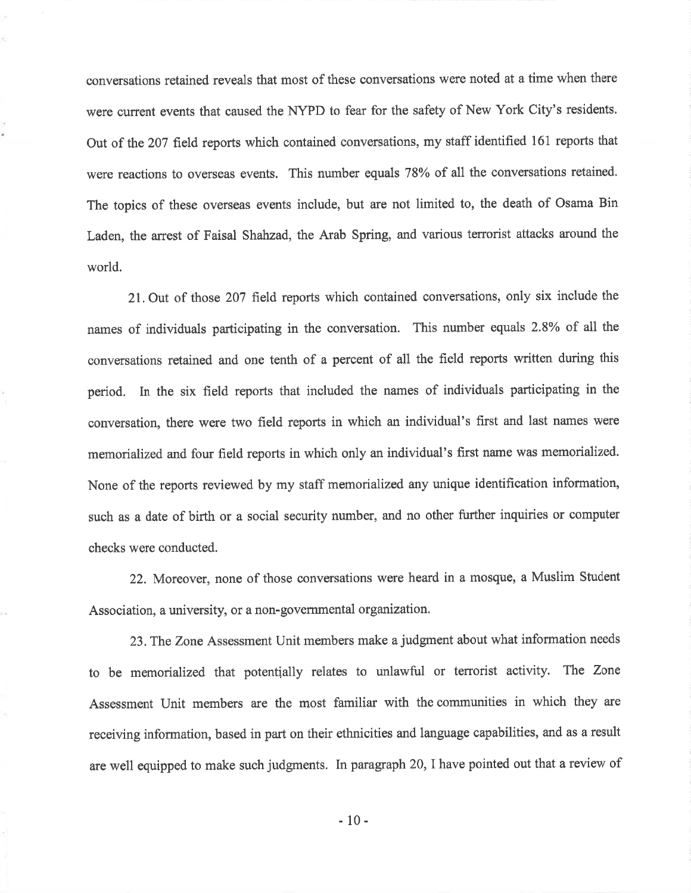conversations retained reveals that most of these conversations were noted at a time when there were current events that caused the NYPD to fear for the safety of New York City's residents. Out of the207 field reports which contained conversations, my staff identified 161 reports that were reactions to overseas events. This number equals 78% of all the conversations retained. The topics of these overseas events include, but are not limited to, the death of Osama Bin Laden, the arrest of Faisal Shahzad, the Arab Spring, and various terrorist attacks around the world.

21. Out of those 207 field reports which contained conversations, only six include the names of individuals participating in the conversation. This number equals 2.8% of all the conversations retained and one tenth of a percent of all the field reports written during this period. In the six field reports that included the names of individuals participating in the conversation, there were two field reports in which an individual's first and last names were memorialized and four field reports in which only an individual's first name was memorialized. None of the reports reviewed by my staff memorialized any unique identification information, such as a date of birth or a social security number, and no other further inquiries or computer checks were conducted.

22. Morcover, none of those conversations were heard in a mosque, a Muslim Student Association, a university, or a non-governmental organization.

23,The Zone Assessment Unit members make a judgment about what information needs to be memorialized that potentially relates to unlawful or terrorist activity. The Zone Assessment Unit members are the most familiar with the communities in which they are receiving information, based in part on their ethnicities and language capabilities, and as a result are well equipped to make such judgments. In paragraph 20, I have pointed out that a review of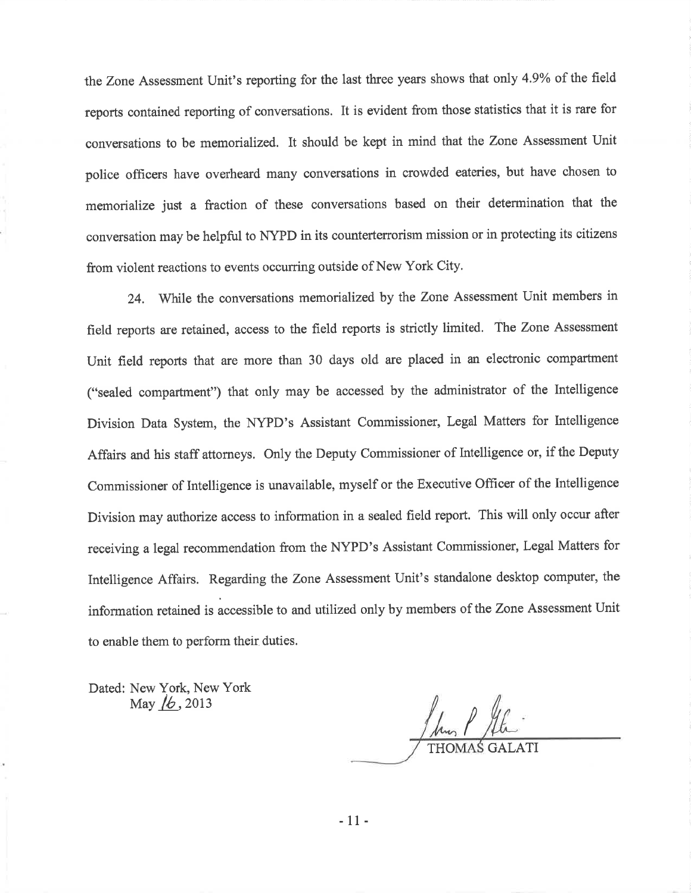the Zone Assessment Unit's reporting for the last three years shows that only 43% of the field reports contained reporting of conversations. It is evident from those statistics that it is rare for conversations to be memorialized. It should be kept in mind that the Zone Assessment Unit police officers have overheard many conversations in crowded eateries, but have chosen to memorialize just a fraction of these conversations based on their determination that the conversation may be helpful to NYPD in its counterterrorism mission or in protecting its citizens from violent reactions to events occurring outside of New York City.

24. While the conversations memorialized by the Zone Assessment Unit members in field reports are retained, access to the field reports is strictly limited. The Zone Assessment Unit field reports that are more than 30 days old are placed in an electronic compartment ("sealed compartment") that only may be accessed by the administrator of the Intelligence Division Data System, the NYPD's Assistant Commissioner, Legal Matters for Intelligence Affairs and his staff attorneys. Only the Deputy Commissioner of Intelligence or, if the Deputy Commissioner of Intelligence is unavailable, myself or the Executive Officer of the Intelligence Division may authorize access to information in a sealed field report. This will only occur after receiving a legal recommendation from the NYPD's Assistant Commissioner, Legal Matters for Intelligence Affairs. Regarding the Zone Assessment Unit's standalone desktop computer, the information retained is àccessible to and utilized only by members of the Zone Assessment Unit to enable them to perform their duties.

Dated: New York. New York May  $/6$ , 2013

1 hrs P 96. THOMAS GALATI
<sup>-</sup>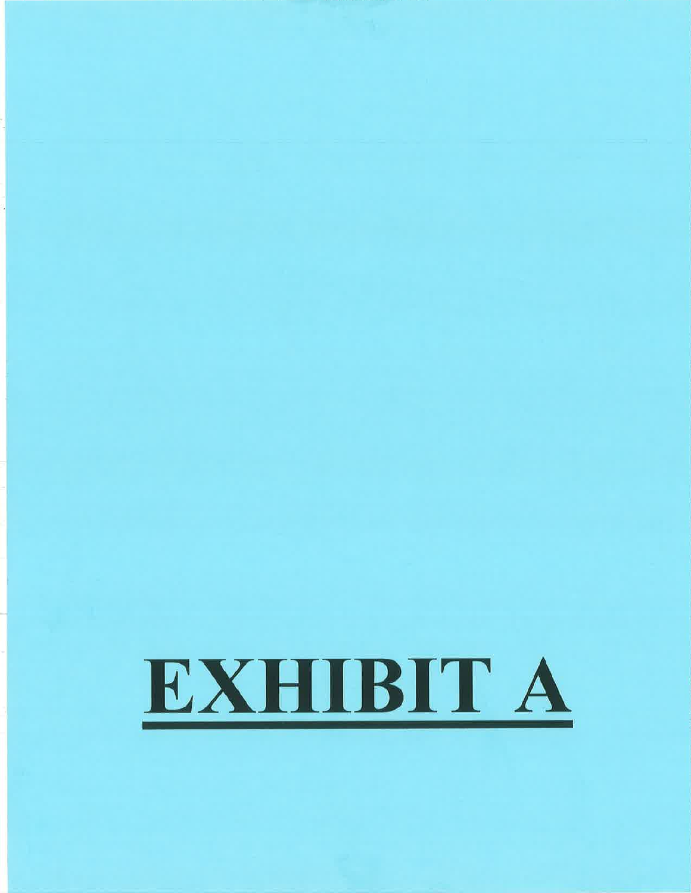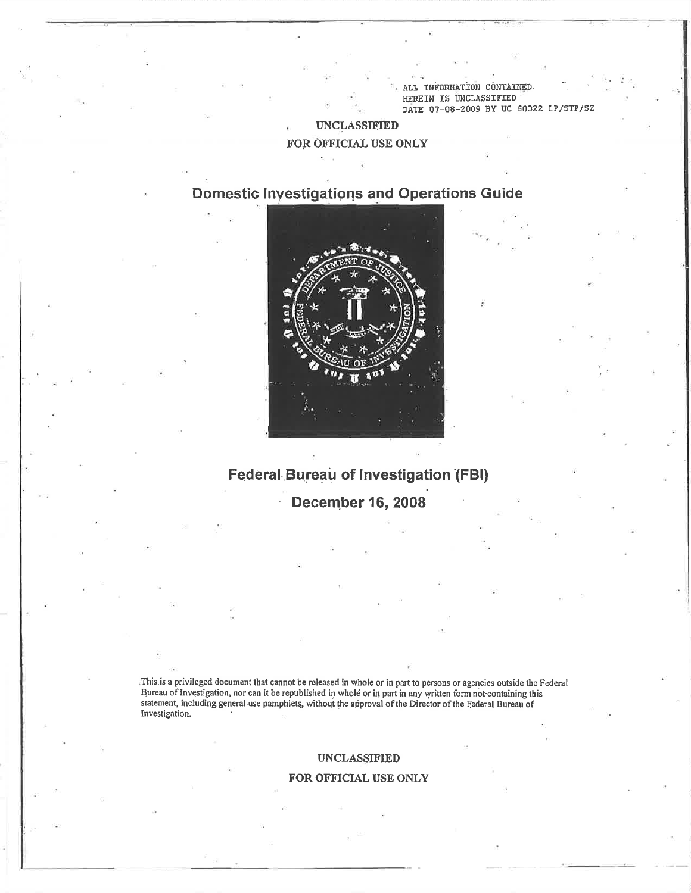LL INFORMATION CONTAINED HEREIN IS UNCLASSIFIED DATE 07-08-2009 BY UC 60322 LP/STP/SZ

## **UNCLASSIFIED**

## FOR OFFICIAL USE ONLY

## **Domestic Investigations and Operations Guide**



# Federal Bureau of Investigation (FBI)

**December 16, 2008** 

 $\epsilon$ 

This is a privileged document that cannot be released in whole or in part to persons or agencies outside the Federal Bureau of Investigation, nor can it be republished in whole or in part in any written form not containing this statement, including general use pamphlets, without the approval of the Director of the Federal Bureau of Investigation.

#### **UNCLASSIFIED**

### FOR OFFICIAL USE ONLY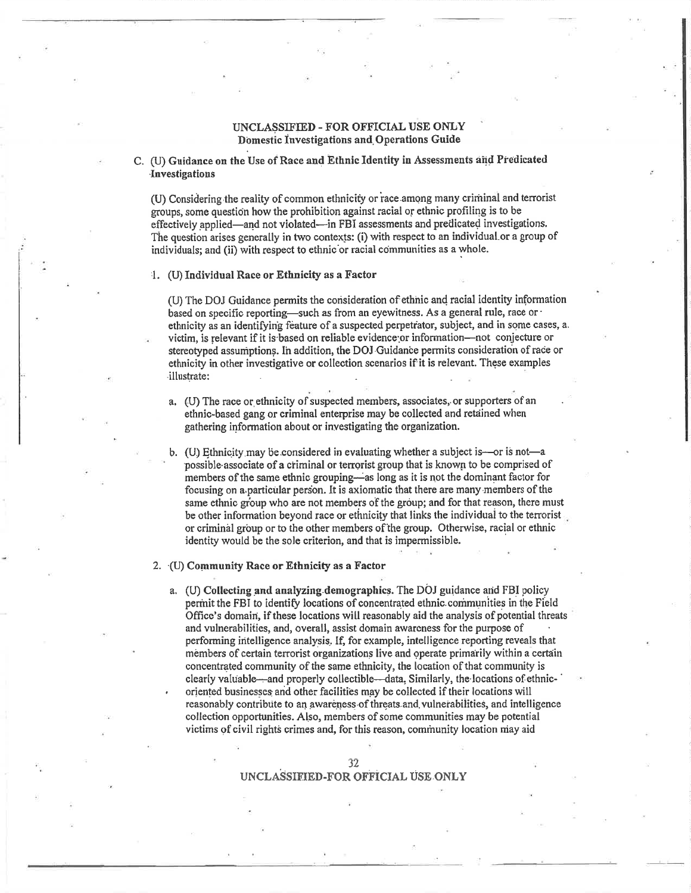### UNCLASSIFIED - FOR OFFICIAL USE ONLY Domestic Investigations and Operations Guide

C. (U) Guidance on the Use of Race and Ethnic Identity in Assessments and Predicated Investigations

(U) Considering the reality of common ethnicity or race among many criminal and terrorist groups, some question how the prohibition against racial or ethnic profiling is to be effectively applied—and not violated—in FBI assessments and predicated investigations. The question arises generally in two contexts: (i) with respect to an individual or a group of individuals; and (ii) with respect to ethnic or racial communities as a whole.

#### 4. (U) Individual Race or Ethnicity as a Factor

(U) The DOJ Guidance permits the consideration of ethnic and racial identity information based on specific reporting—such as from an eyewitness. As a general rule, race or · ethnicity as an identifying feature of a suspected perpetrator, subject, and in some cases, a. victim, is relevant if it is based on reliable evidence or information-not conjecture or stereotyped assumptions. In addition, the DOJ Guidance permits consideration of race or ethnicity in other investigative or collection scenarios if it is relevant. These examples illustrate:

- a. (U) The race or ethnicity of suspected members, associates, or supporters of an ethnic-based gang or criminal enterprise may be collected and retained when gathering information about or investigating the organization.
- b. (U) Ethnicity may be considered in evaluating whether a subject is—or is not—a possible associate of a criminal or terrorist group that is known to be comprised of members of the same ethnic grouping—as long as it is not the dominant factor for focusing on a particular person. It is axiomatic that there are many members of the same ethnic group who are not members of the group; and for that reason, there must be other information beyond race or ethnicity that links the individual to the terrorist or criminal group or to the other members of the group. Otherwise, racial or ethnic identity would be the sole criterion, and that is impermissible.

#### 2. (U) Community Race or Ethnicity as a Factor

a. (U) Collecting and analyzing demographics. The DOJ guidance and FBI policy permit the FBI to identify locations of concentrated ethnic communities in the Field Office's domain, if these locations will reasonably aid the analysis of potential threats and vulnerabilities, and, overall, assist domain awareness for the purpose of performing intelligence analysis. If, for example, intelligence reporting reveals that members of certain terrorist organizations live and operate primarily within a certain concentrated community of the same ethnicity, the location of that community is clearly valuable—and properly collectible—data, Similarly, the locations of ethnicoriented businesses and other facilities may be collected if their locations will reasonably contribute to an awareness of threats and vulnerabilities, and intelligence collection opportunities. Also, members of some communities may be potential victims of civil rights crimes and, for this reason, community location may aid

### UNCLASSIFIED-FOR OFFICIAL USE ONLY